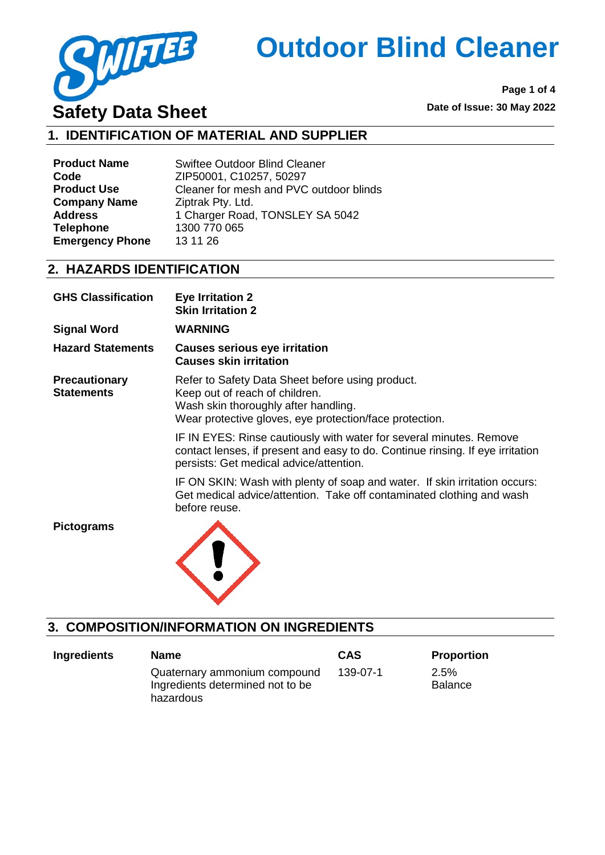

**Page 1 of 4**

# **1. IDENTIFICATION OF MATERIAL AND SUPPLIER**

| <b>Product Name</b>    | <b>Swiftee Outdoor Blind Cleaner</b>    |
|------------------------|-----------------------------------------|
| Code                   | ZIP50001, C10257, 50297                 |
| <b>Product Use</b>     | Cleaner for mesh and PVC outdoor blinds |
| <b>Company Name</b>    | Ziptrak Pty. Ltd.                       |
| <b>Address</b>         | 1 Charger Road, TONSLEY SA 5042         |
| <b>Telephone</b>       | 1300 770 065                            |
| <b>Emergency Phone</b> | 13 11 26                                |

#### **2. HAZARDS IDENTIFICATION**

| <b>GHS Classification</b>                 | <b>Eye Irritation 2</b><br><b>Skin Irritation 2</b>                                                                                                                                              |
|-------------------------------------------|--------------------------------------------------------------------------------------------------------------------------------------------------------------------------------------------------|
| <b>Signal Word</b>                        | <b>WARNING</b>                                                                                                                                                                                   |
| <b>Hazard Statements</b>                  | <b>Causes serious eye irritation</b><br><b>Causes skin irritation</b>                                                                                                                            |
| <b>Precautionary</b><br><b>Statements</b> | Refer to Safety Data Sheet before using product.<br>Keep out of reach of children.<br>Wash skin thoroughly after handling.<br>Wear protective gloves, eye protection/face protection.            |
|                                           | IF IN EYES: Rinse cautiously with water for several minutes. Remove<br>contact lenses, if present and easy to do. Continue rinsing. If eye irritation<br>persists: Get medical advice/attention. |
|                                           | IF ON SKIN: Wash with plenty of soap and water. If skin irritation occurs:<br>Get medical advice/attention. Take off contaminated clothing and wash<br>before reuse.                             |
| <b>Pictograms</b>                         |                                                                                                                                                                                                  |

## **3. COMPOSITION/INFORMATION ON INGREDIENTS**

| <b>Ingredients</b> | <b>Name</b>                                                                   | <b>CAS</b> | <b>Proportion</b>      |
|--------------------|-------------------------------------------------------------------------------|------------|------------------------|
|                    | Quaternary ammonium compound<br>Ingredients determined not to be<br>hazardous | 139-07-1   | 2.5%<br><b>Balance</b> |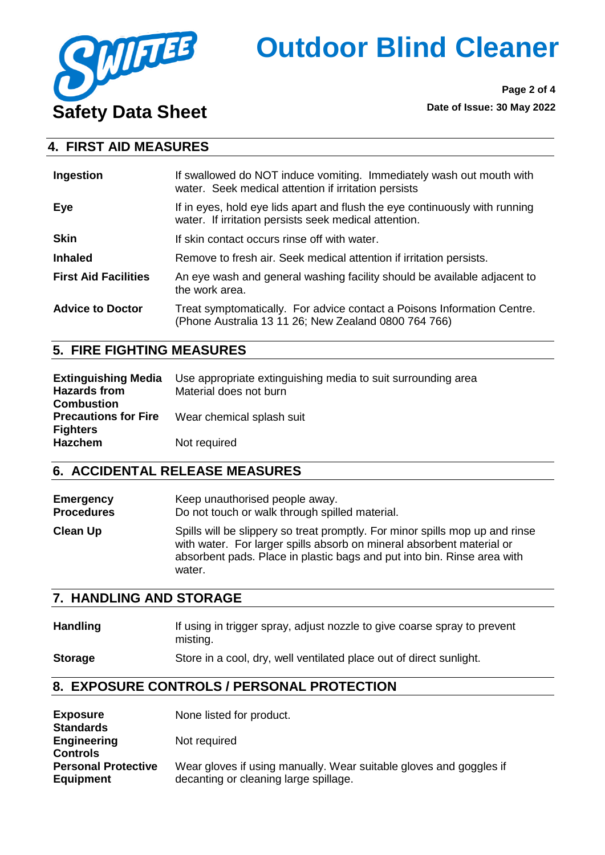

**Page 2 of 4**

### **4. FIRST AID MEASURES**

| Ingestion                   | If swallowed do NOT induce vomiting. Immediately wash out mouth with<br>water. Seek medical attention if irritation persists         |  |
|-----------------------------|--------------------------------------------------------------------------------------------------------------------------------------|--|
| Eye                         | If in eyes, hold eye lids apart and flush the eye continuously with running<br>water. If irritation persists seek medical attention. |  |
| <b>Skin</b>                 | If skin contact occurs rinse off with water.                                                                                         |  |
| <b>Inhaled</b>              | Remove to fresh air. Seek medical attention if irritation persists.                                                                  |  |
| <b>First Aid Facilities</b> | An eye wash and general washing facility should be available adjacent to<br>the work area.                                           |  |
| <b>Advice to Doctor</b>     | Treat symptomatically. For advice contact a Poisons Information Centre.<br>(Phone Australia 13 11 26; New Zealand 0800 764 766)      |  |

### **5. FIRE FIGHTING MEASURES**

| <b>Extinguishing Media</b><br><b>Hazards from</b> | Use appropriate extinguishing media to suit surrounding area<br>Material does not burn |
|---------------------------------------------------|----------------------------------------------------------------------------------------|
| <b>Combustion</b>                                 |                                                                                        |
| <b>Precautions for Fire</b>                       | Wear chemical splash suit                                                              |
| <b>Fighters</b>                                   |                                                                                        |
| <b>Hazchem</b>                                    | Not required                                                                           |

## **6. ACCIDENTAL RELEASE MEASURES**

**Emergency Procedures** Keep unauthorised people away. Do not touch or walk through spilled material. **Clean Up** Spills will be slippery so treat promptly. For minor spills mop up and rinse with water. For larger spills absorb on mineral absorbent material or absorbent pads. Place in plastic bags and put into bin. Rinse area with water.

### **7. HANDLING AND STORAGE**

| <b>Handling</b> | If using in trigger spray, adjust nozzle to give coarse spray to prevent |
|-----------------|--------------------------------------------------------------------------|
|                 | mistina.                                                                 |
| <b>Storage</b>  | Store in a cool, dry, well ventilated place out of direct sunlight.      |

### **8. EXPOSURE CONTROLS / PERSONAL PROTECTION**

| <b>Exposure</b><br><b>Standards</b>            | None listed for product.                                                                                    |
|------------------------------------------------|-------------------------------------------------------------------------------------------------------------|
| <b>Engineering</b><br><b>Controls</b>          | Not required                                                                                                |
| <b>Personal Protective</b><br><b>Equipment</b> | Wear gloves if using manually. Wear suitable gloves and goggles if<br>decanting or cleaning large spillage. |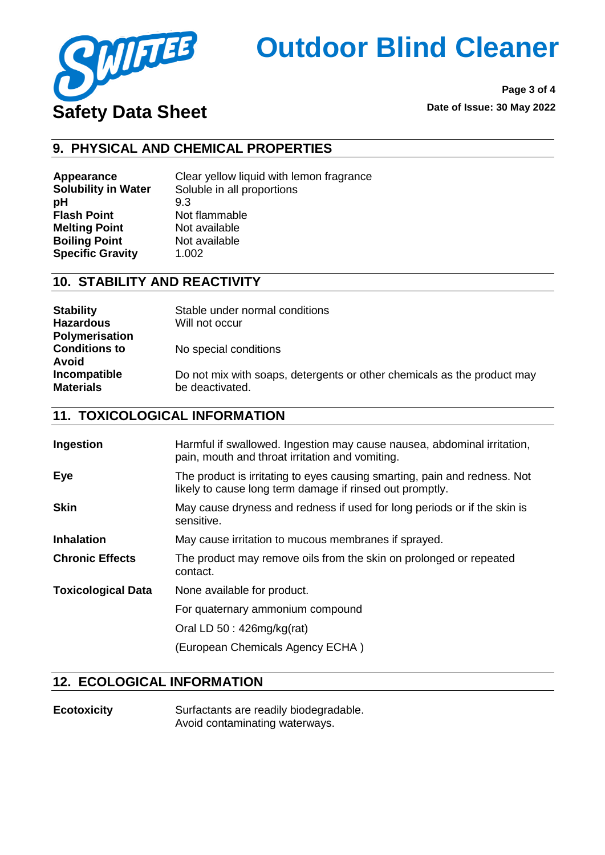

**Page 3 of 4**

### **9. PHYSICAL AND CHEMICAL PROPERTIES**

**pH** 9.3 **Flash Point** Not flammable **Melting Point** Not available<br> **Boiling Point** Not available **Boiling Point Specific Gravity** 1.002

**Appearance** Clear yellow liquid with lemon fragrance **Solubility in Water** Soluble in all proportions

### **10. STABILITY AND REACTIVITY**

| <b>Stability</b><br><b>Hazardous</b><br><b>Polymerisation</b> | Stable under normal conditions<br>Will not occur                                           |
|---------------------------------------------------------------|--------------------------------------------------------------------------------------------|
| <b>Conditions to</b><br>Avoid                                 | No special conditions                                                                      |
| Incompatible<br><b>Materials</b>                              | Do not mix with soaps, detergents or other chemicals as the product may<br>be deactivated. |

### **11. TOXICOLOGICAL INFORMATION**

| Ingestion                 | Harmful if swallowed. Ingestion may cause nausea, abdominal irritation,<br>pain, mouth and throat irritation and vomiting.            |
|---------------------------|---------------------------------------------------------------------------------------------------------------------------------------|
| Eye                       | The product is irritating to eyes causing smarting, pain and redness. Not<br>likely to cause long term damage if rinsed out promptly. |
| <b>Skin</b>               | May cause dryness and redness if used for long periods or if the skin is<br>sensitive.                                                |
| <b>Inhalation</b>         | May cause irritation to mucous membranes if sprayed.                                                                                  |
| <b>Chronic Effects</b>    | The product may remove oils from the skin on prolonged or repeated<br>contact.                                                        |
| <b>Toxicological Data</b> | None available for product.                                                                                                           |
|                           | For quaternary ammonium compound                                                                                                      |
|                           | Oral LD $50:426mg/kg(rat)$                                                                                                            |
|                           | (European Chemicals Agency ECHA)                                                                                                      |

### **12. ECOLOGICAL INFORMATION**

**Ecotoxicity** Surfactants are readily biodegradable. Avoid contaminating waterways.